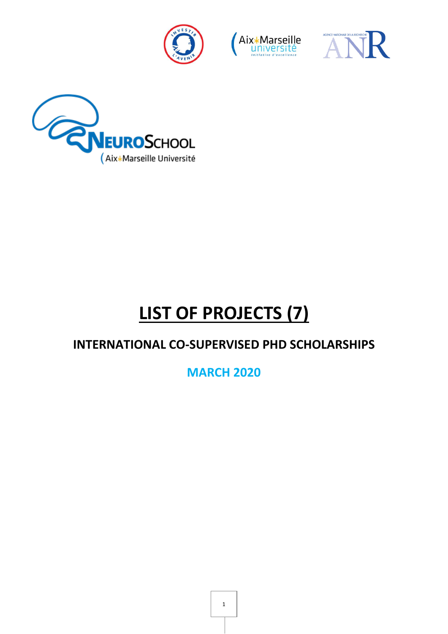







# **LIST OF PROJECTS (7)**

### **INTERNATIONAL CO-SUPERVISED PHD SCHOLARSHIPS**

**MARCH 2020**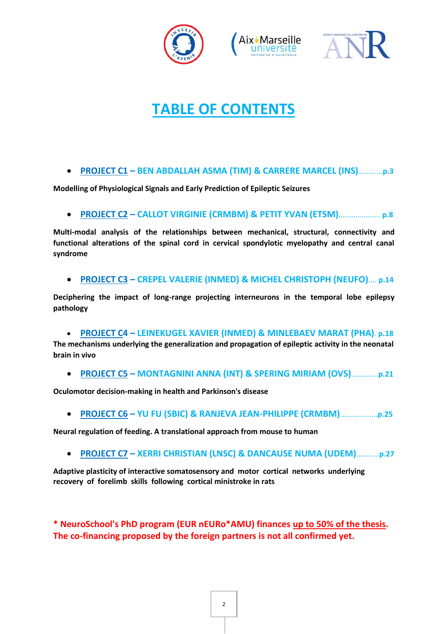





## **TABLE OF CONTENTS**

#### **PROJECT C1 – BEN ABDALLAH ASMA (TIM) & CARRERE MARCEL (INS)**….........**p.3**

**Modelling of Physiological Signals and Early Prediction of Epileptic Seizures**

**PROJECT C2 – CALLOT VIRGINIE (CRMBM) & PETIT YVAN (ETSM)**.................... **p.8**

**Multi-modal analysis of the relationships between mechanical, structural, connectivity and functional alterations of the spinal cord in cervical spondylotic myelopathy and central canal syndrome**

**PROJECT C3 – CREPEL VALERIE (INMED) & MICHEL CHRISTOPH (NEUFO)**.... **p.14**

**Deciphering the impact of long-range projecting interneurons in the temporal lobe epilepsy pathology**

#### **PROJECT C4 – LEINEKUGEL XAVIER (INMED) & MINLEBAEV MARAT (PHA)**. **p.18**

**The mechanisms underlying the generalization and propagation of epileptic activity in the neonatal brain in vivo**

**PROJECT C5 – MONTAGNINI ANNA (INT) & SPERING MIRIAM (OVS)**.............**p.21**

**Oculomotor decision-making in health and Parkinson's disease**

**PROJECT C6 – YU FU (SBIC) & RANJEVA JEAN-PHILIPPE (CRMBM)**..................**p.25**

**Neural regulation of feeding. A translational approach from mouse to human**

**PROJECT C7 – XERRI CHRISTIAN (LNSC) & DANCAUSE NUMA (UDEM)**...........**p.27**

**Adaptive plasticity of interactive somatosensory and motor cortical networks underlying recovery of forelimb skills following cortical ministroke in rats**

**\* NeuroSchool's PhD program (EUR nEURo\*AMU) finances up to 50% of the thesis. The co-financing proposed by the foreign partners is not all confirmed yet.**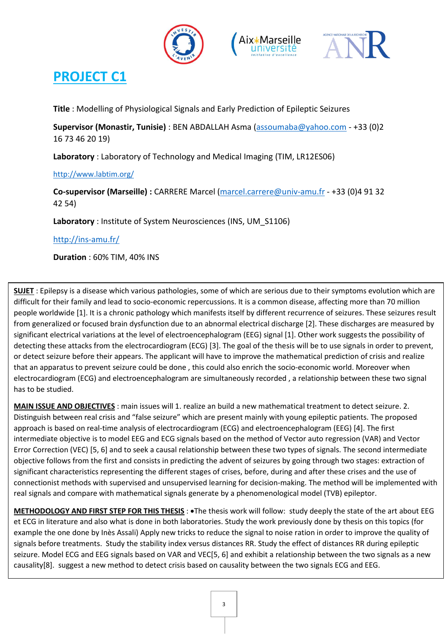





**Title** : Modelling of Physiological Signals and Early Prediction of Epileptic Seizures

**Supervisor (Monastir, Tunisie)** : BEN ABDALLAH Asma [\(assoumaba@yahoo.com](mailto:assoumaba@yahoo.fr) - +33 (0)2 16 73 46 20 19)

**Laboratory** : Laboratory of Technology and Medical Imaging (TIM, LR12ES06)

<http://www.labtim.org/>

**Co-supervisor (Marseille) :** CARRERE Marcel [\(marcel.carrere@univ-amu.fr](mailto:marcel.carrere@univ-amu.fr) - +33 (0)4 91 32 42 54)

**Laboratory** : Institute of System Neurosciences (INS, UM\_S1106)

<http://ins-amu.fr/>

**Duration** : 60% TIM, 40% INS

**SUJET** : Epilepsy is a disease which various pathologies, some of which are serious due to their symptoms evolution which are difficult for their family and lead to socio-economic repercussions. It is a common disease, affecting more than 70 million people worldwide [1]. It is a chronic pathology which manifests itself by different recurrence of seizures. These seizures result from generalized or focused brain dysfunction due to an abnormal electrical discharge [2]. These discharges are measured by significant electrical variations at the level of electroencephalogram (EEG) signal [1]. Other work suggests the possibility of detecting these attacks from the electrocardiogram (ECG) [3]. The goal of the thesis will be to use signals in order to prevent, or detect seizure before their appears. The applicant will have to improve the mathematical prediction of crisis and realize that an apparatus to prevent seizure could be done , this could also enrich the socio-economic world. Moreover when electrocardiogram (ECG) and electroencephalogram are simultaneously recorded , a relationship between these two signal has to be studied.

**MAIN ISSUE AND OBJECTIVES** : main issues will 1. realize an build a new mathematical treatment to detect seizure. 2. Distinguish between real crisis and "false seizure" which are present mainly with young epileptic patients. The proposed approach is based on real-time analysis of electrocardiogram (ECG) and electroencephalogram (EEG) [4]. The first intermediate objective is to model EEG and ECG signals based on the method of Vector auto regression (VAR) and Vector Error Correction (VEC) [5, 6] and to seek a causal relationship between these two types of signals. The second intermediate objective follows from the first and consists in predicting the advent of seizures by going through two stages: extraction of significant characteristics representing the different stages of crises, before, during and after these crises and the use of connectionist methods with supervised and unsupervised learning for decision-making. The method will be implemented with real signals and compare with mathematical signals generate by a phenomenological model (TVB) epileptor.

**METHODOLOGY AND FIRST STEP FOR THIS THESIS** : The thesis work will follow: study deeply the state of the art about EEG et ECG in literature and also what is done in both laboratories. Study the work previously done by thesis on this topics (for example the one done by Inès Assali) Apply new tricks to reduce the signal to noise ration in order to improve the quality of signals before treatments. Study the stability index versus distances RR. Study the effect of distances RR during epileptic seizure. Model ECG and EEG signals based on VAR and VEC[5, 6] and exhibit a relationship between the two signals as a new causality[8]. suggest a new method to detect crisis based on causality between the two signals ECG and EEG.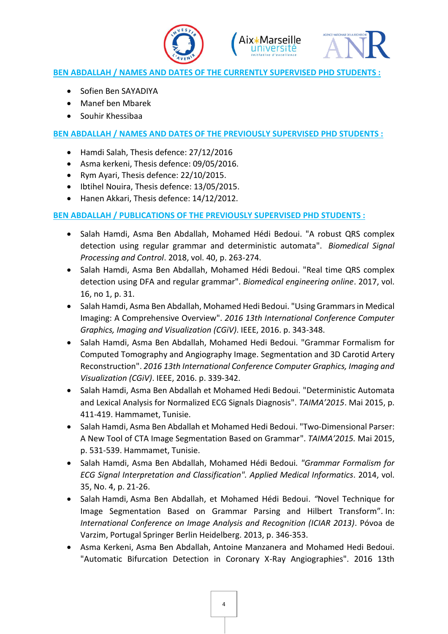





#### **BEN ABDALLAH / NAMES AND DATES OF THE CURRENTLY SUPERVISED PHD STUDENTS :**

- Sofien Ben SAYADIYA
- Manef ben Mbarek
- Souhir Khessibaa

#### **BEN ABDALLAH / NAMES AND DATES OF THE PREVIOUSLY SUPERVISED PHD STUDENTS :**

- Hamdi Salah, Thesis defence: 27/12/2016
- Asma kerkeni, Thesis defence: 09/05/2016.
- Rym Ayari, Thesis defence: 22/10/2015.
- Ibtihel Nouira, Thesis defence: 13/05/2015.
- Hanen Akkari, Thesis defence: 14/12/2012.

#### **BEN ABDALLAH / PUBLICATIONS OF THE PREVIOUSLY SUPERVISED PHD STUDENTS :**

- [Salah Hamdi, Asma Ben Abdallah, Mohamed Hédi Bedoui.](https://www.sciencedirect.com/science/article/pii/S1746809417302410#!) "A robust QRS complex detection using regular grammar and deterministic automata". *Biomedical Signal Processing and Control*. 2018, vol. 40, p. 263-274.
- [Salah Hamdi, Asma Ben Abdallah, Mohamed Hédi Bedoui.](https://www.sciencedirect.com/science/article/pii/S1746809417302410#!) "Real time QRS complex detection using DFA and regular grammar". *Biomedical engineering online*. 2017, vol. 16, no 1, p. 31.
- Salah Hamdi, Asma Ben Abdallah, Mohamed Hedi Bedoui. "Using Grammars in Medical Imaging: A Comprehensive Overview". *2016 13th International Conference Computer Graphics, Imaging and Visualization (CGiV)*. IEEE, 2016. p. 343-348.
- Salah Hamdi, Asma Ben Abdallah, Mohamed Hedi Bedoui. "Grammar Formalism for Computed Tomography and Angiography Image. Segmentation and 3D Carotid Artery Reconstruction". *2016 13th International Conference Computer Graphics, Imaging and Visualization (CGiV)*. IEEE, 2016. p. 339-342.
- Salah Hamdi, Asma Ben Abdallah et Mohamed Hedi Bedoui. "Deterministic Automata and Lexical Analysis for Normalized ECG Signals Diagnosis". *TAIMA'2015*. Mai 2015, p. 411-419. Hammamet, Tunisie.
- Salah Hamdi, Asma Ben Abdallah et Mohamed Hedi Bedoui. "Two-Dimensional Parser: A New Tool of CTA Image Segmentation Based on Grammar". *TAIMA'2015.* Mai 2015, p. 531-539. Hammamet, Tunisie.
- [Salah Hamdi, Asma Ben Abdallah, Mohamed Hédi Bedoui](https://www.sciencedirect.com/science/article/pii/S1746809417302410#!)*. "Grammar Formalism for ECG Signal Interpretation and Classification". Applied Medical Informatics*. 2014, vol. 35, No. 4, p. 21-26.
- Salah Hamdi, [Asma Ben Abdallah,](https://www.sciencedirect.com/science/article/pii/S1746809417302410#!) et [Mohamed Hédi Bedoui.](https://www.sciencedirect.com/science/article/pii/S1746809417302410#!) *"*Novel Technique for Image Segmentation Based on Grammar Parsing and Hilbert Transform". In: *International Conference on Image Analysis and Recognition (ICIAR 2013)*. Póvoa de Varzim, Portugal Springer Berlin Heidelberg. 2013, p. 346-353.
- Asma Kerkeni, Asma Ben Abdallah, Antoine Manzanera and Mohamed Hedi Bedoui. "Automatic Bifurcation Detection in Coronary X-Ray Angiographies". 2016 13th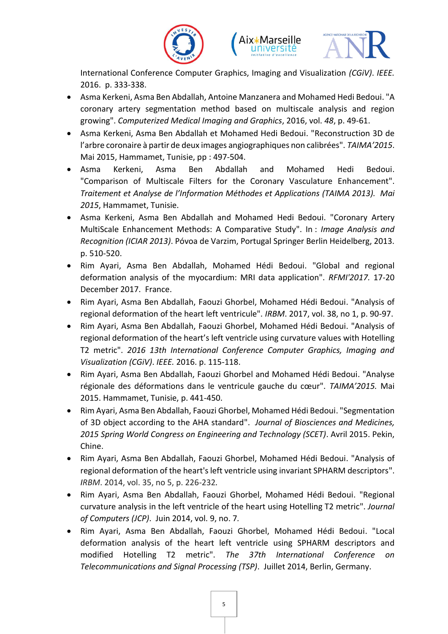





International Conference Computer Graphics, Imaging and Visualization *(CGiV)*. *IEEE.* 2016. p. 333-338.

- Asma Kerkeni, Asma Ben Abdallah, Antoine Manzanera and Mohamed Hedi Bedoui. "A coronary artery segmentation method based on multiscale analysis and region growing". *Computerized Medical Imaging and Graphics*, 2016, vol. *48*, p. 49-61.
- Asma Kerkeni, Asma Ben Abdallah et Mohamed Hedi Bedoui. "Reconstruction 3D de l'arbre coronaire à partir de deux images angiographiques non calibrées". *TAIMA'2015*. Mai 2015, Hammamet, Tunisie, pp : 497-504.
- Asma Kerkeni, Asma Ben Abdallah and Mohamed Hedi Bedoui. "Comparison of Multiscale Filters for the Coronary Vasculature Enhancement". *Traitement et Analyse de l'Information Méthodes et Applications (TAIMA 2013). Mai 2015*, Hammamet, Tunisie.
- Asma Kerkeni, Asma Ben Abdallah and Mohamed Hedi Bedoui. "Coronary Artery MultiScale Enhancement Methods: A Comparative Study". In : *Image Analysis and Recognition (ICIAR 2013)*. Póvoa de Varzim, Portugal Springer Berlin Heidelberg, 2013. p. 510-520.
- Rim Ayari, Asma Ben Abdallah, Mohamed Hédi Bedoui. "Global and regional deformation analysis of the myocardium: MRI data application". *RFMI'2017.* 17-20 December 2017. France.
- Rim Ayari, Asma Ben Abdallah, Faouzi Ghorbel, Mohamed Hédi Bedoui. "Analysis of regional deformation of the heart left ventricule". *IRBM*. 2017, vol. 38, no 1, p. 90-97.
- Rim Ayari, Asma Ben Abdallah, Faouzi Ghorbel, Mohamed Hédi Bedoui. "Analysis of regional deformation of the heart's left ventricle using curvature values with Hotelling T2 metric". *2016 13th International Conference Computer Graphics, Imaging and Visualization (CGiV)*. *IEEE.* 2016. p. 115-118.
- Rim Ayari, Asma Ben Abdallah, Faouzi Ghorbel and Mohamed Hédi Bedoui. "Analyse régionale des déformations dans le ventricule gauche du cœur". *TAIMA'2015.* Mai 2015. Hammamet, Tunisie, p. 441-450.
- Rim Ayari, Asma Ben Abdallah, Faouzi Ghorbel, Mohamed Hédi Bedoui. "Segmentation of 3D object according to the AHA standard". *Journal of Biosciences and Medicines, 2015 Spring World Congress on Engineering and Technology (SCET)*. Avril 2015. Pekin, Chine.
- Rim Ayari, Asma Ben Abdallah, Faouzi Ghorbel, Mohamed Hédi Bedoui. "Analysis of regional deformation of the heart's left ventricle using invariant SPHARM descriptors". *IRBM*. 2014, vol. 35, no 5, p. 226-232*.*
- Rim Ayari, Asma Ben Abdallah, Faouzi Ghorbel, Mohamed Hédi Bedoui. "Regional curvature analysis in the left ventricle of the heart using Hotelling T2 metric". *Journal of Computers (JCP)*. Juin 2014, vol. 9, no. 7*.*
- Rim Ayari, Asma Ben Abdallah, Faouzi Ghorbel, Mohamed Hédi Bedoui. "Local deformation analysis of the heart left ventricle using SPHARM descriptors and modified Hotelling T2 metric". *The 37th International Conference on Telecommunications and Signal Processing (TSP)*. Juillet 2014, Berlin, Germany.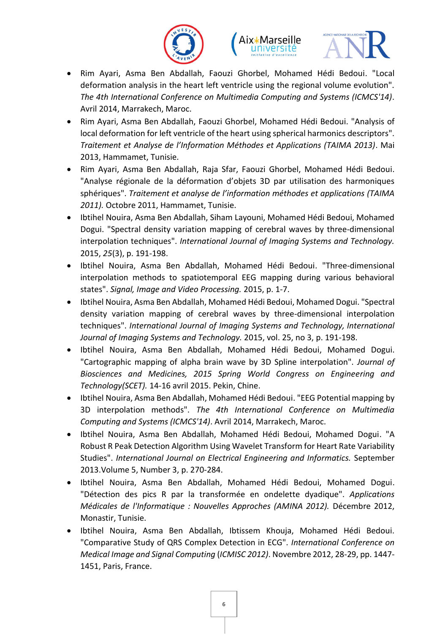





- Rim Ayari, Asma Ben Abdallah, Faouzi Ghorbel, Mohamed Hédi Bedoui. "Local deformation analysis in the heart left ventricle using the regional volume evolution". *The 4th International Conference on Multimedia Computing and Systems (ICMCS'14)*. Avril 2014, Marrakech, Maroc.
- Rim Ayari, Asma Ben Abdallah, Faouzi Ghorbel, Mohamed Hédi Bedoui. "Analysis of local deformation for left ventricle of the heart using spherical harmonics descriptors". *Traitement et Analyse de l'Information Méthodes et Applications (TAIMA 2013)*. Mai 2013, Hammamet, Tunisie.
- Rim Ayari, Asma Ben Abdallah, Raja Sfar, Faouzi Ghorbel, Mohamed Hédi Bedoui. "Analyse régionale de la déformation d'objets 3D par utilisation des harmoniques sphériques". *Traitement et analyse de l'information méthodes et applications (TAIMA 2011).* Octobre 2011, Hammamet, Tunisie.
- Ibtihel Nouira, Asma Ben Abdallah, Siham Layouni, Mohamed Hédi Bedoui, Mohamed Dogui. "Spectral density variation mapping of cerebral waves by three-dimensional interpolation techniques". *International Journal of Imaging Systems and Technology.* 2015, *25*(3), p. 191-198.
- Ibtihel Nouira, Asma Ben Abdallah, Mohamed Hédi Bedoui. "Three-dimensional interpolation methods to spatiotemporal EEG mapping during various behavioral states". *Signal, Image and Video Processing.* 2015, p. 1-7.
- Ibtihel Nouira, Asma Ben Abdallah, Mohamed Hédi Bedoui, Mohamed Dogui. "Spectral density variation mapping of cerebral waves by three-dimensional interpolation techniques". *International Journal of Imaging Systems and Technology, International Journal of Imaging Systems and Technology.* 2015, vol. 25, no 3, p. 191-198.
- Ibtihel Nouira, Asma Ben Abdallah, Mohamed Hédi Bedoui, Mohamed Dogui. "Cartographic mapping of alpha brain wave by 3D Spline interpolation". *Journal of Biosciences and Medicines, 2015 Spring World Congress on Engineering and Technology(SCET).* 14-16 avril 2015. Pekin, Chine.
- Ibtihel Nouira, Asma Ben Abdallah, Mohamed Hédi Bedoui. "EEG Potential mapping by 3D interpolation methods". *The 4th International Conference on Multimedia Computing and Systems (ICMCS'14)*. Avril 2014, Marrakech, Maroc.
- Ibtihel Nouira, Asma Ben Abdallah, Mohamed Hédi Bedoui, Mohamed Dogui. "A Robust R Peak Detection Algorithm Using Wavelet Transform for Heart Rate Variability Studies". *International Journal on Electrical Engineering and Informatics.* September 2013.Volume 5, Number 3, p. 270-284.
- Ibtihel Nouira, Asma Ben Abdallah, Mohamed Hédi Bedoui, Mohamed Dogui. "Détection des pics R par la transformée en ondelette dyadique". *Applications Médicales de l'Informatique : Nouvelles Approches (AMINA 2012).* Décembre 2012, Monastir, Tunisie.
- Ibtihel Nouira, Asma Ben Abdallah, Ibtissem Khouja, Mohamed Hédi Bedoui. "Comparative Study of QRS Complex Detection in ECG". *International Conference on Medical Image and Signal Computing* (*ICMISC 2012)*. Novembre 2012, 28-29, pp. 1447- 1451, Paris, France.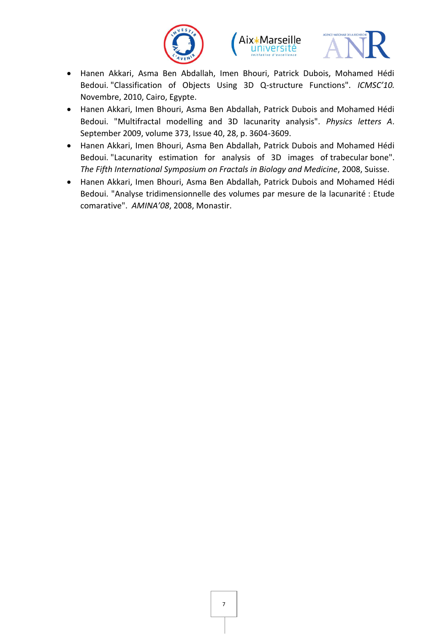





- Hanen Akkari, Asma Ben Abdallah, Imen Bhouri, Patrick Dubois, Mohamed Hédi Bedoui. "Classification of Objects Using 3D Q-structure Functions". *ICMSC'10.* Novembre, 2010, Cairo, Egypte.
- Hanen Akkari, Imen Bhouri, Asma Ben Abdallah, Patrick Dubois and Mohamed Hédi Bedoui. "Multifractal modelling and 3D lacunarity analysis". *Physics letters A*. September 2009, volume 373, Issue 40, 28, p. 3604-3609.
- Hanen Akkari, Imen Bhouri, Asma Ben Abdallah, Patrick Dubois and Mohamed Hédi Bedoui. "Lacunarity estimation for analysis of 3D images of trabecular bone". *The Fifth International Symposium on Fractals in Biology and Medicine*, 2008, Suisse.
- Hanen Akkari, Imen Bhouri, Asma Ben Abdallah, Patrick Dubois and Mohamed Hédi Bedoui. "Analyse tridimensionnelle des volumes par mesure de la lacunarité : Etude comarative". *AMINA'08*, 2008, Monastir.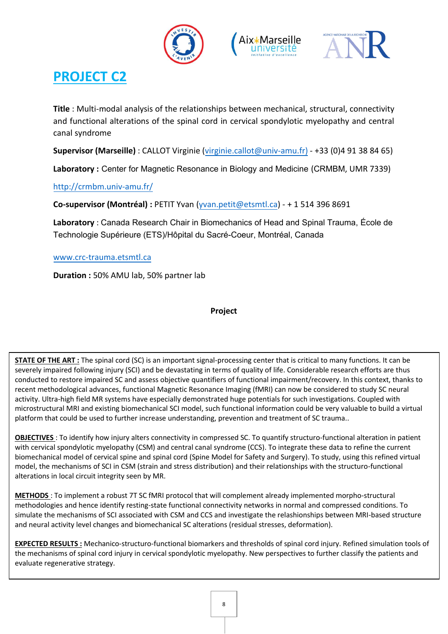





**Title** : Multi-modal analysis of the relationships between mechanical, structural, connectivity and functional alterations of the spinal cord in cervical spondylotic myelopathy and central canal syndrome

**Supervisor (Marseille)** : CALLOT Virginie [\(virginie.callot@univ-amu.fr\)](mailto:virginie.callot@univ-amu.fr)) - +33 (0)4 91 38 84 65)

**Laboratory :** Center for Magnetic Resonance in Biology and Medicine (CRMBM, UMR 7339)

http://crmbm.univ-amu.fr/

**[Co-supervisor \(Montréal\) :](http://crmbm.univ-amu.fr/)** PETIT Yvan (yvan.petit@etsmtl.ca) - + 1 514 396 8691

**Laboratory** : Canada Research Chair i[n Biomechanics of Head](mailto:yvan.petit@etsmtl.ca) and Spinal Trauma, École de Technologie Supérieure (ETS)/Hôpital du Sacré-Coeur, Montréal, Canada

#### www.crc-trauma.etsmtl.ca

**Duration :** 50% AMU lab, 50% partner lab

**Project**

**STATE OF THE ART**: The spinal cord (SC) is an important signal-processing center that is critical to many functions. It can be severely impaired following injury (SCI) and be devastating in terms of quality of life. Considerable research efforts are thus conducted to restore impaired SC and assess objective quantifiers of functional impairment/recovery. In this context, thanks to recent methodological advances, functional Magnetic Resonance Imaging (fMRI) can now be considered to study SC neural activity. Ultra-high field MR systems have especially demonstrated huge potentials for such investigations. Coupled with microstructural MRI and existing biomechanical SCI model, such functional information could be very valuable to build a virtual platform that could be used to further increase understanding, prevention and treatment of SC trauma..

**OBJECTIVES** : To identify how injury alters connectivity in compressed SC. To quantify structuro-functional alteration in patient with cervical spondylotic myelopathy (CSM) and central canal syndrome (CCS). To integrate these data to refine the current biomechanical model of cervical spine and spinal cord (Spine Model for Safety and Surgery). To study, using this refined virtual model, the mechanisms of SCI in CSM (strain and stress distribution) and their relationships with the structuro-functional alterations in local circuit integrity seen by MR.

**METHODS** : To implement a robust 7T SC fMRI protocol that will complement already implemented morpho-structural methodologies and hence identify resting-state functional connectivity networks in normal and compressed conditions. To simulate the mechanisms of SCI associated with CSM and CCS and investigate the relashionships between MRI-based structure and neural activity level changes and biomechanical SC alterations (residual stresses, deformation).

**EXPECTED RESULTS :** Mechanico-structuro-functional biomarkers and thresholds of spinal cord injury. Refined simulation tools of the mechanisms of spinal cord injury in cervical spondylotic myelopathy. New perspectives to further classify the patients and evaluate regenerative strategy.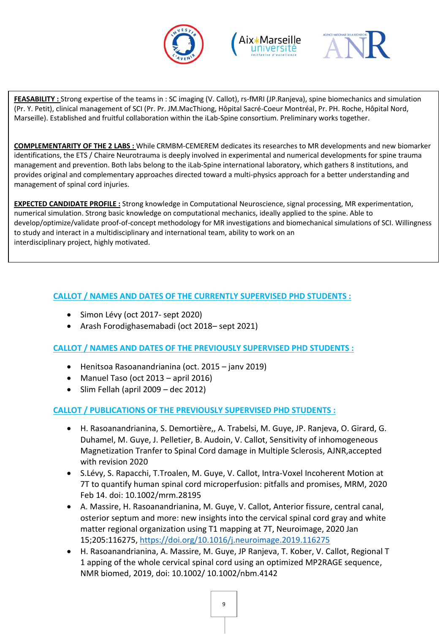





**FEASABILITY :** Strong expertise of the teams in : SC imaging (V. Callot), rs-fMRI (JP.Ranjeva), spine biomechanics and simulation (Pr. Y. Petit), clinical management of SCI (Pr. Pr. JM.MacThiong, Hôpital Sacré-Coeur Montréal, Pr. PH. Roche, Hôpital Nord, Marseille). Established and fruitful collaboration within the iLab-Spine consortium. Preliminary works together.

**COMPLEMENTARITY OF THE 2 LABS :** While CRMBM-CEMEREM dedicates its researches to MR developments and new biomarker identifications, the ETS / Chaire Neurotrauma is deeply involved in experimental and numerical developments for spine trauma management and prevention. Both labs belong to the iLab-Spine international laboratory, which gathers 8 institutions, and provides original and complementary approaches directed toward a multi-physics approach for a better understanding and management of spinal cord injuries.

**EXPECTED CANDIDATE PROFILE :** Strong knowledge in Computational Neuroscience, signal processing, MR experimentation, numerical simulation. Strong basic knowledge on computational mechanics, ideally applied to the spine. Able to develop/optimize/validate proof-of-concept methodology for MR investigations and biomechanical simulations of SCI. Willingness to study and interact in a multidisciplinary and international team, ability to work on an interdisciplinary project, highly motivated.

#### **CALLOT / NAMES AND DATES OF THE CURRENTLY SUPERVISED PHD STUDENTS :**

- Simon Lévy (oct 2017- sept 2020)
- Arash Forodighasemabadi (oct 2018– sept 2021)

**CALLOT / NAMES AND DATES OF THE PREVIOUSLY SUPERVISED PHD STUDENTS :** 

- Henitsoa Rasoanandrianina (oct. 2015 janv 2019)
- Manuel Taso (oct 2013 april 2016)
- $\bullet$  Slim Fellah (april 2009 dec 2012)

#### **CALLOT / PUBLICATIONS OF THE PREVIOUSLY SUPERVISED PHD STUDENTS :**

- H. Rasoanandrianina, S. Demortière,, A. Trabelsi, M. Guye, JP. Ranjeva, O. Girard, G. Duhamel, M. Guye, J. Pelletier, B. Audoin, V. Callot, Sensitivity of inhomogeneous Magnetization Tranfer to Spinal Cord damage in Multiple Sclerosis, AJNR,accepted with revision 2020
- S.Lévy, S. Rapacchi, T.Troalen, M. Guye, V. Callot, Intra-Voxel Incoherent Motion at 7T to quantify human spinal cord microperfusion: pitfalls and promises, MRM, 2020 Feb 14. doi: 10.1002/mrm.28195
- A. Massire, H. Rasoanandrianina, M. Guye, V. Callot, Anterior fissure, central canal, osterior septum and more: new insights into the cervical spinal cord gray and white matter regional organization using T1 mapping at 7T, Neuroimage, 2020 Jan 15;205:116275,<https://doi.org/10.1016/j.neuroimage.2019.116275>
- H. Rasoanandrianina, A. Massire, M. Guye, JP Ranjeva, T. Kober, V. Callot, Regional T 1 apping of the whole cervical spinal cord using an optimized MP2RAGE sequence, NMR biomed, 2019, doi: 10.1002/ 10.1002/nbm.4142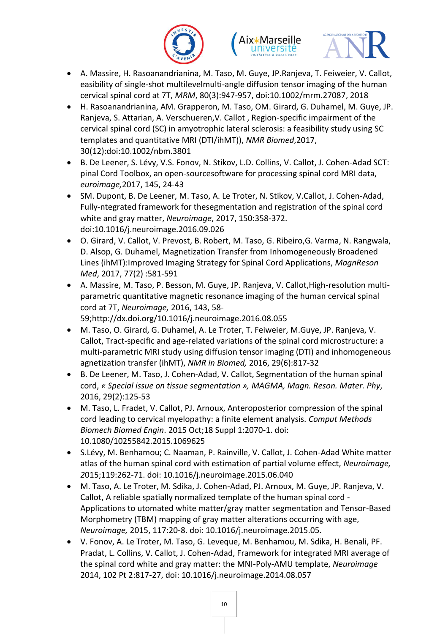





- A. Massire, H. Rasoanandrianina, M. Taso, M. Guye, JP.Ranjeva, T. Feiweier, V. Callot, easibility of single-shot multilevelmulti-angle diffusion tensor imaging of the human cervical spinal cord at 7T, *MRM*, 80(3):947-957, doi:10.1002/mrm.27087, 2018
- H. Rasoanandrianina, AM. Grapperon, M. Taso, OM. Girard, G. Duhamel, M. Guye, JP. Ranjeva, S. Attarian, A. Verschueren,V. Callot , Region-specific impairment of the cervical spinal cord (SC) in amyotrophic lateral sclerosis: a feasibility study using SC templates and quantitative MRI (DTI/ihMT)), *NMR Biomed*,2017, 30(12):doi:10.1002/nbm.3801
- B. De Leener, S. Lévy, V.S. Fonov, N. Stikov, L.D. Collins, V. Callot, J. Cohen-Adad SCT: pinal Cord Toolbox, an open-sourcesoftware for processing spinal cord MRI data, *euroimage,*2017, 145, 24-43
- SM. Dupont, B. De Leener, M. Taso, A. Le Troter, N. Stikov, V.Callot, J. Cohen-Adad, Fully-ntegrated framework for thesegmentation and registration of the spinal cord white and gray matter, *Neuroimage*, 2017, 150:358-372. doi:10.1016/j.neuroimage.2016.09.026
- O. Girard, V. Callot, V. Prevost, B. Robert, M. Taso, G. Ribeiro,G. Varma, N. Rangwala, D. Alsop, G. Duhamel, Magnetization Transfer from Inhomogeneously Broadened Lines (ihMT):Improved Imaging Strategy for Spinal Cord Applications, *MagnReson Med*, 2017, 77(2) :581-591
- A. Massire, M. Taso, P. Besson, M. Guye, JP. Ranjeva, V. Callot,High-resolution multiparametric quantitative magnetic resonance imaging of the human cervical spinal cord at 7T, *Neuroimage,* 2016, 143, 58- 59;http://dx.doi.org/10.1016/j.neuroimage.2016.08.055
- M. Taso, O. Girard, G. Duhamel, A. Le Troter, T. Feiweier, M.Guye, JP. Ranjeva, V. Callot, Tract-specific and age-related variations of the spinal cord microstructure: a multi-parametric MRI study using diffusion tensor imaging (DTI) and inhomogeneous
- agnetization transfer (ihMT), *NMR in Biomed,* 2016, 29(6):817-32 B. De Leener, M. Taso, J. Cohen-Adad, V. Callot, Segmentation of the human spinal cord, *« Special issue on tissue segmentation », MAGMA, Magn. Reson. Mater. Phy*, 2016, 29(2):125-53
- M. Taso, L. Fradet, V. Callot, PJ. Arnoux, Anteroposterior compression of the spinal cord leading to cervical myelopathy: a finite element analysis. *Comput Methods Biomech Biomed Engin*. 2015 Oct;18 Suppl 1:2070-1. doi: 10.1080/10255842.2015.1069625
- S.Lévy, M. Benhamou; C. Naaman, P. Rainville, V. Callot, J. Cohen-Adad White matter atlas of the human spinal cord with estimation of partial volume effect, *Neuroimage, 2*015;119:262-71. doi: 10.1016/j.neuroimage.2015.06.040
- M. Taso, A. Le Troter, M. Sdika, J. Cohen-Adad, PJ. Arnoux, M. Guye, JP. Ranjeva, V. Callot, A reliable spatially normalized template of the human spinal cord - Applications to utomated white matter/gray matter segmentation and Tensor-Based Morphometry (TBM) mapping of gray matter alterations occurring with age, *Neuroimage,* 2015, 117:20-8. doi: 10.1016/j.neuroimage.2015.05.
- V. Fonov, A. Le Troter, M. Taso, G. Leveque, M. Benhamou, M. Sdika, H. Benali, PF. Pradat, L. Collins, V. Callot, J. Cohen-Adad, Framework for integrated MRI average of the spinal cord white and gray matter: the MNI-Poly-AMU template, *Neuroimage*  2014, 102 Pt 2:817-27, doi: 10.1016/j.neuroimage.2014.08.057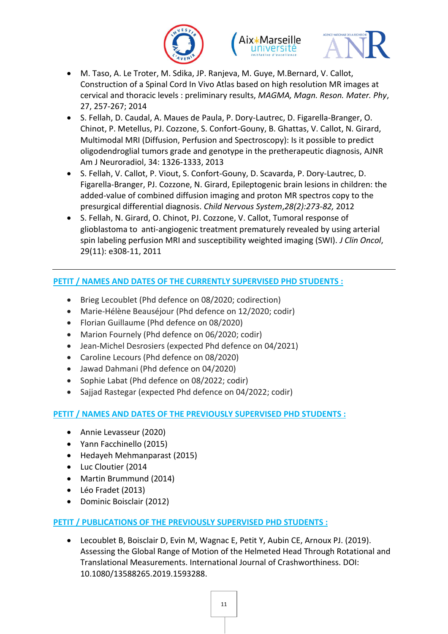





- M. Taso, A. Le Troter, M. Sdika, JP. Ranjeva, M. Guye, M.Bernard, V. Callot, Construction of a Spinal Cord In Vivo Atlas based on high resolution MR images at cervical and thoracic levels : preliminary results, *MAGMA, Magn. Reson. Mater. Phy*, 27, 257-267; 2014
- S. Fellah, D. Caudal, A. Maues de Paula, P. Dory-Lautrec, D. Figarella-Branger, O. Chinot, P. Metellus, PJ. Cozzone, S. Confort-Gouny, B. Ghattas, V. Callot, N. Girard, Multimodal MRI (Diffusion, Perfusion and Spectroscopy): Is it possible to predict oligodendroglial tumors grade and genotype in the pretherapeutic diagnosis, AJNR Am J Neuroradiol, 34: 1326-1333, 2013
- S. Fellah, V. Callot, P. Viout, S. Confort-Gouny, D. Scavarda, P. Dory-Lautrec, D. Figarella-Branger, PJ. Cozzone, N. Girard, Epileptogenic brain lesions in children: the added-value of combined diffusion imaging and proton MR spectros copy to the presurgical differential diagnosis. *Child Nervous System*,*28(2):273-82,* 2012
- S. Fellah, N. Girard, O. Chinot, PJ. Cozzone, V. Callot, Tumoral response of glioblastoma to anti-angiogenic treatment prematurely revealed by using arterial spin labeling perfusion MRI and susceptibility weighted imaging (SWI). *J Clin Oncol*, 29(11): e308-11, 2011

#### **PETIT / NAMES AND DATES OF THE CURRENTLY SUPERVISED PHD STUDENTS :**

- Brieg Lecoublet (Phd defence on 08/2020; codirection)
- Marie-Hélène Beauséjour (Phd defence on 12/2020; codir)
- Florian Guillaume (Phd defence on 08/2020)
- Marion Fournely (Phd defence on 06/2020; codir)
- Jean-Michel Desrosiers (expected Phd defence on 04/2021)
- Caroline Lecours (Phd defence on 08/2020)
- Jawad Dahmani (Phd defence on 04/2020)
- Sophie Labat (Phd defence on 08/2022; codir)
- Sajjad Rastegar (expected Phd defence on 04/2022; codir)

#### **PETIT / NAMES AND DATES OF THE PREVIOUSLY SUPERVISED PHD STUDENTS :**

- Annie Levasseur (2020)
- Yann Facchinello (2015)
- Hedayeh Mehmanparast (2015)
- Luc Cloutier (2014
- Martin Brummund (2014)
- Léo Fradet (2013)
- Dominic Boisclair (2012)

#### **PETIT / PUBLICATIONS OF THE PREVIOUSLY SUPERVISED PHD STUDENTS :**

 Lecoublet B, Boisclair D, Evin M, Wagnac E, Petit Y, Aubin CE, Arnoux PJ. (2019). Assessing the Global Range of Motion of the Helmeted Head Through Rotational and Translational Measurements. International Journal of Crashworthiness. DOI: 10.1080/13588265.2019.1593288.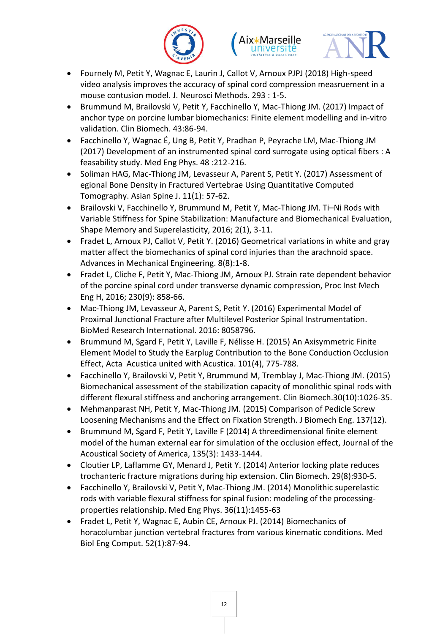





- Fournely M, Petit Y, Wagnac E, Laurin J, Callot V, Arnoux PJPJ (2018) High-speed video analysis improves the accuracy of spinal cord compression measruement in a mouse contusion model. J. Neurosci Methods. 293 : 1-5.
- Brummund M, Brailovski V, Petit Y, Facchinello Y, Mac-Thiong JM. (2017) Impact of anchor type on porcine lumbar biomechanics: Finite element modelling and in-vitro validation. Clin Biomech. 43:86-94.
- Facchinello Y, Wagnac É, Ung B, Petit Y, Pradhan P, Peyrache LM, Mac-Thiong JM (2017) Development of an instrumented spinal cord surrogate using optical fibers : A feasability study. Med Eng Phys. 48 :212-216.
- Soliman HAG, Mac-Thiong JM, Levasseur A, Parent S, Petit Y. (2017) Assessment of egional Bone Density in Fractured Vertebrae Using Quantitative Computed Tomography. Asian Spine J. 11(1): 57-62.
- Brailovski V, Facchinello Y, Brummund M, Petit Y, Mac-Thiong JM. Ti–Ni Rods with Variable Stiffness for Spine Stabilization: Manufacture and Biomechanical Evaluation, Shape Memory and Superelasticity, 2016; 2(1), 3-11.
- Fradet L, Arnoux PJ, Callot V, Petit Y. (2016) Geometrical variations in white and gray matter affect the biomechanics of spinal cord injuries than the arachnoid space. Advances in Mechanical Engineering. 8(8):1-8.
- Fradet L, Cliche F, Petit Y, Mac-Thiong JM, Arnoux PJ. Strain rate dependent behavior of the porcine spinal cord under transverse dynamic compression, Proc Inst Mech Eng H, 2016; 230(9): 858-66.
- Mac-Thiong JM, Levasseur A, Parent S, Petit Y. (2016) Experimental Model of Proximal Junctional Fracture after Multilevel Posterior Spinal Instrumentation. BioMed Research International. 2016: 8058796.
- Brummund M, Sgard F, Petit Y, Laville F, Nélisse H. (2015) An Axisymmetric Finite Element Model to Study the Earplug Contribution to the Bone Conduction Occlusion Effect, Acta Acustica united with Acustica. 101(4), 775-788.
- Facchinello Y, Brailovski V, Petit Y, Brummund M, Tremblay J, Mac-Thiong JM. (2015) Biomechanical assessment of the stabilization capacity of monolithic spinal rods with different flexural stiffness and anchoring arrangement. Clin Biomech.30(10):1026-35.
- Mehmanparast NH, Petit Y, Mac-Thiong JM. (2015) Comparison of Pedicle Screw Loosening Mechanisms and the Effect on Fixation Strength. J Biomech Eng. 137(12).
- Brummund M, Sgard F, Petit Y, Laville F (2014) A threedimensional finite element model of the human external ear for simulation of the occlusion effect, Journal of the Acoustical Society of America, 135(3): 1433-1444.
- Cloutier LP, Laflamme GY, Menard J, Petit Y. (2014) Anterior locking plate reduces trochanteric fracture migrations during hip extension. Clin Biomech. 29(8):930-5.
- Facchinello Y, Brailovski V, Petit Y, Mac-Thiong JM. (2014) Monolithic superelastic rods with variable flexural stiffness for spinal fusion: modeling of the processingproperties relationship. Med Eng Phys. 36(11):1455-63
- Fradet L, Petit Y, Wagnac E, Aubin CE, Arnoux PJ. (2014) Biomechanics of horacolumbar junction vertebral fractures from various kinematic conditions. Med Biol Eng Comput. 52(1):87-94.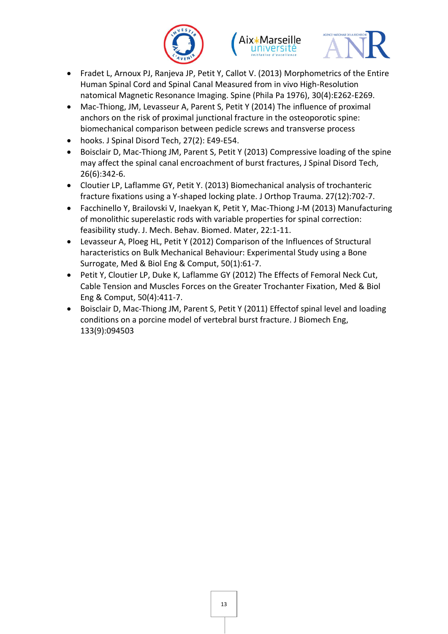





- Fradet L, Arnoux PJ, Ranjeva JP, Petit Y, Callot V. (2013) Morphometrics of the Entire Human Spinal Cord and Spinal Canal Measured from in vivo High-Resolution natomical Magnetic Resonance Imaging. Spine (Phila Pa 1976), 30(4):E262-E269.
- Mac-Thiong, JM, Levasseur A, Parent S, Petit Y (2014) The influence of proximal anchors on the risk of proximal junctional fracture in the osteoporotic spine: biomechanical comparison between pedicle screws and transverse process
- hooks. J Spinal Disord Tech, 27(2): E49-E54.
- Boisclair D, Mac-Thiong JM, Parent S, Petit Y (2013) Compressive loading of the spine may affect the spinal canal encroachment of burst fractures, J Spinal Disord Tech, 26(6):342-6.
- Cloutier LP, Laflamme GY, Petit Y. (2013) Biomechanical analysis of trochanteric fracture fixations using a Y-shaped locking plate. J Orthop Trauma. 27(12):702-7.
- Facchinello Y, Brailovski V, Inaekyan K, Petit Y, Mac-Thiong J-M (2013) Manufacturing of monolithic superelastic rods with variable properties for spinal correction: feasibility study. J. Mech. Behav. Biomed. Mater, 22:1-11.
- Levasseur A, Ploeg HL, Petit Y (2012) Comparison of the Influences of Structural haracteristics on Bulk Mechanical Behaviour: Experimental Study using a Bone Surrogate, Med & Biol Eng & Comput, 50(1):61-7.
- Petit Y, Cloutier LP, Duke K, Laflamme GY (2012) The Effects of Femoral Neck Cut, Cable Tension and Muscles Forces on the Greater Trochanter Fixation, Med & Biol Eng & Comput, 50(4):411-7.
- Boisclair D, Mac-Thiong JM, Parent S, Petit Y (2011) Effectof spinal level and loading conditions on a porcine model of vertebral burst fracture. J Biomech Eng, 133(9):094503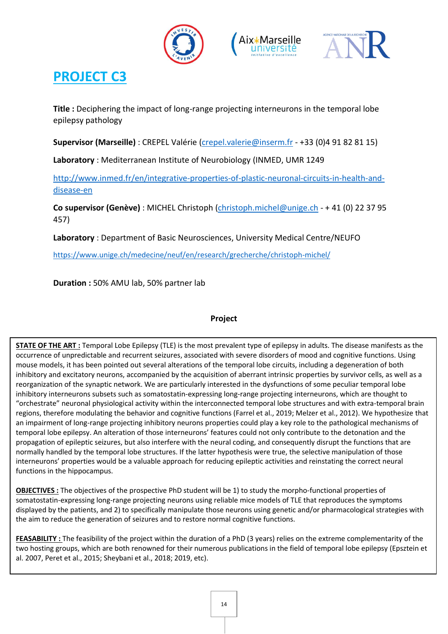





**Title :** Deciphering the impact of long-range projecting interneurons in the temporal lobe epilepsy pathology

**Supervisor (Marseille)** : CREPEL Valérie [\(crepel.valerie@inserm.fr](mailto:crepel.valerie@inserm.fr) - +33 (0)4 91 82 81 15)

**Laboratory** : Mediterranean Institute of Neurobiology (INMED, UMR 1249

http://www.inmed.fr/en/integrative-properties-of-plastic-neuronal-circuits-in-health-anddisease-en

**Co supervisor (Genève)** : MICHEL Christoph [\(christoph.michel@unige.ch](mailto:christoph.michel@unige.ch) - + 41 (0) 22 37 95 457)

**Laboratory** : Department of Basic Neurosciences, University Medical Centre/NEUFO

<https://www.unige.ch/medecine/neuf/en/research/grecherche/christoph-michel/>

**Duration :** 50% AMU lab, 50% partner lab

#### **Project**

**STATE OF THE ART :** Temporal Lobe Epilepsy (TLE) is the most prevalent type of epilepsy in adults. The disease manifests as the occurrence of unpredictable and recurrent seizures, associated with severe disorders of mood and cognitive functions. Using mouse models, it has been pointed out several alterations of the temporal lobe circuits, including a degeneration of both inhibitory and excitatory neurons, accompanied by the acquisition of aberrant intrinsic properties by survivor cells, as well as a reorganization of the synaptic network. We are particularly interested in the dysfunctions of some peculiar temporal lobe inhibitory interneurons subsets such as somatostatin-expressing long-range projecting interneurons, which are thought to "orchestrate" neuronal physiological activity within the interconnected temporal lobe structures and with extra-temporal brain regions, therefore modulating the behavior and cognitive functions (Farrel et al., 2019; Melzer et al., 2012). We hypothesize that an impairment of long-range projecting inhibitory neurons properties could play a key role to the pathological mechanisms of temporal lobe epilepsy. An alteration of those interneurons' features could not only contribute to the detonation and the propagation of epileptic seizures, but also interfere with the neural coding, and consequently disrupt the functions that are normally handled by the temporal lobe structures. If the latter hypothesis were true, the selective manipulation of those interneurons' properties would be a valuable approach for reducing epileptic activities and reinstating the correct neural functions in the hippocampus.

**OBJECTIVES :** The objectives of the prospective PhD student will be 1) to study the morpho-functional properties of somatostatin-expressing long-range projecting neurons using reliable mice models of TLE that reproduces the symptoms displayed by the patients, and 2) to specifically manipulate those neurons using genetic and/or pharmacological strategies with the aim to reduce the generation of seizures and to restore normal cognitive functions.

**FEASABILITY :** The feasibility of the project within the duration of a PhD (3 years) relies on the extreme complementarity of the two hosting groups, which are both renowned for their numerous publications in the field of temporal lobe epilepsy (Epsztein et al. 2007, Peret et al., 2015; Sheybani et al., 2018; 2019, etc).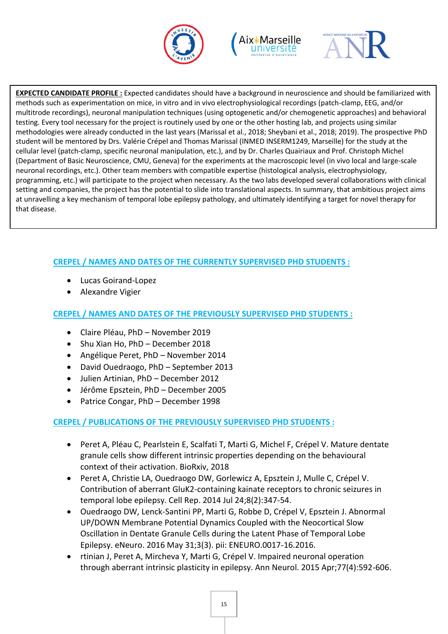





**EXPECTED CANDIDATE PROFILE :** Expected candidates should have a background in neuroscience and should be familiarized with methods such as experimentation on mice, in vitro and in vivo electrophysiological recordings (patch-clamp, EEG, and/or multitrode recordings), neuronal manipulation techniques (using optogenetic and/or chemogenetic approaches) and behavioral testing. Every tool necessary for the project is routinely used by one or the other hosting lab, and projects using similar methodologies were already conducted in the last years (Marissal et al., 2018; Sheybani et al., 2018; 2019). The prospective PhD student will be mentored by Drs. Valérie Crépel and Thomas Marissal (INMED INSERM1249, Marseille) for the study at the cellular level (patch-clamp, specific neuronal manipulation, etc.), and by Dr. Charles Quairiaux and Prof. Christoph Michel (Department of Basic Neuroscience, CMU, Geneva) for the experiments at the macroscopic level (in vivo local and large-scale neuronal recordings, etc.). Other team members with compatible expertise (histological analysis, electrophysiology, programming, etc.) will participate to the project when necessary. As the two labs developed several collaborations with clinical setting and companies, the project has the potential to slide into translational aspects. In summary, that ambitious project aims at unravelling a key mechanism of temporal lobe epilepsy pathology, and ultimately identifying a target for novel therapy for that disease.

#### **CREPEL / NAMES AND DATES OF THE CURRENTLY SUPERVISED PHD STUDENTS :**

- Lucas Goirand-Lopez
- Alexandre Vigier

#### **CREPEL / NAMES AND DATES OF THE PREVIOUSLY SUPERVISED PHD STUDENTS :**

- Claire Pléau, PhD November 2019
- Shu Xian Ho, PhD December 2018
- Angélique Peret, PhD November 2014
- David Ouedraogo, PhD September 2013
- Julien Artinian, PhD December 2012
- Jérôme Epsztein, PhD December 2005
- Patrice Congar, PhD December 1998

#### **CREPEL / PUBLICATIONS OF THE PREVIOUSLY SUPERVISED PHD STUDENTS :**

- Peret A, Pléau C, Pearlstein E, Scalfati T, Marti G, Michel F, Crépel V. Mature dentate granule cells show different intrinsic properties depending on the behavioural context of their activation. BioRxiv, 2018
- Peret A, Christie LA, Ouedraogo DW, Gorlewicz A, Epsztein J, Mulle C, Crépel V. Contribution of aberrant GluK2-containing kainate receptors to chronic seizures in temporal lobe epilepsy. Cell Rep. 2014 Jul 24;8(2):347-54.
- Ouedraogo DW, Lenck-Santini PP, Marti G, Robbe D, Crépel V, Epsztein J. Abnormal UP/DOWN Membrane Potential Dynamics Coupled with the Neocortical Slow Oscillation in Dentate Granule Cells during the Latent Phase of Temporal Lobe Epilepsy. eNeuro. 2016 May 31;3(3). pii: ENEURO.0017-16.2016.
- rtinian J, Peret A, Mircheva Y, Marti G, Crépel V. Impaired neuronal operation through aberrant intrinsic plasticity in epilepsy. Ann Neurol. 2015 Apr;77(4):592-606.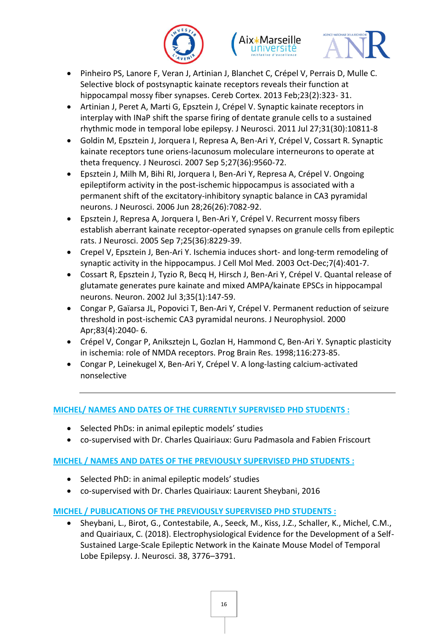





- Pinheiro PS, Lanore F, Veran J, Artinian J, Blanchet C, Crépel V, Perrais D, Mulle C. Selective block of postsynaptic kainate receptors reveals their function at hippocampal mossy fiber synapses. Cereb Cortex. 2013 Feb;23(2):323- 31.
- Artinian J, Peret A, Marti G, Epsztein J, Crépel V. Synaptic kainate receptors in interplay with INaP shift the sparse firing of dentate granule cells to a sustained rhythmic mode in temporal lobe epilepsy. J Neurosci. 2011 Jul 27;31(30):10811-8
- Goldin M, Epsztein J, Jorquera I, Represa A, Ben-Ari Y, Crépel V, Cossart R. Synaptic kainate receptors tune oriens-lacunosum moleculare interneurons to operate at theta frequency. J Neurosci. 2007 Sep 5;27(36):9560-72.
- Epsztein J, Milh M, Bihi RI, Jorquera I, Ben-Ari Y, Represa A, Crépel V. Ongoing epileptiform activity in the post-ischemic hippocampus is associated with a permanent shift of the excitatory-inhibitory synaptic balance in CA3 pyramidal neurons. J Neurosci. 2006 Jun 28;26(26):7082-92.
- Epsztein J, Represa A, Jorquera I, Ben-Ari Y, Crépel V. Recurrent mossy fibers establish aberrant kainate receptor-operated synapses on granule cells from epileptic rats. J Neurosci. 2005 Sep 7;25(36):8229-39.
- Crepel V, Epsztein J, Ben-Ari Y. Ischemia induces short- and long-term remodeling of synaptic activity in the hippocampus. J Cell Mol Med. 2003 Oct-Dec;7(4):401-7.
- Cossart R, Epsztein J, Tyzio R, Becq H, Hirsch J, Ben-Ari Y, Crépel V. Quantal release of glutamate generates pure kainate and mixed AMPA/kainate EPSCs in hippocampal neurons. Neuron. 2002 Jul 3;35(1):147-59.
- Congar P, Gaïarsa JL, Popovici T, Ben-Ari Y, Crépel V. Permanent reduction of seizure threshold in post-ischemic CA3 pyramidal neurons. J Neurophysiol. 2000 Apr;83(4):2040- 6.
- Crépel V, Congar P, Aniksztejn L, Gozlan H, Hammond C, Ben-Ari Y. Synaptic plasticity in ischemia: role of NMDA receptors. Prog Brain Res. 1998;116:273-85.
- Congar P, Leinekugel X, Ben-Ari Y, Crépel V. A long-lasting calcium-activated nonselective

#### **MICHEL/ NAMES AND DATES OF THE CURRENTLY SUPERVISED PHD STUDENTS :**

- Selected PhDs: in animal epileptic models' studies
- co-supervised with Dr. Charles Quairiaux: Guru Padmasola and Fabien Friscourt

#### **MICHEL / NAMES AND DATES OF THE PREVIOUSLY SUPERVISED PHD STUDENTS :**

- Selected PhD: in animal epileptic models' studies
- co-supervised with Dr. Charles Quairiaux: Laurent Sheybani, 2016

#### **MICHEL / PUBLICATIONS OF THE PREVIOUSLY SUPERVISED PHD STUDENTS :**

 Sheybani, L., Birot, G., Contestabile, A., Seeck, M., Kiss, J.Z., Schaller, K., Michel, C.M., and Quairiaux, C. (2018). Electrophysiological Evidence for the Development of a Self-Sustained Large-Scale Epileptic Network in the Kainate Mouse Model of Temporal Lobe Epilepsy. J. Neurosci. 38, 3776–3791.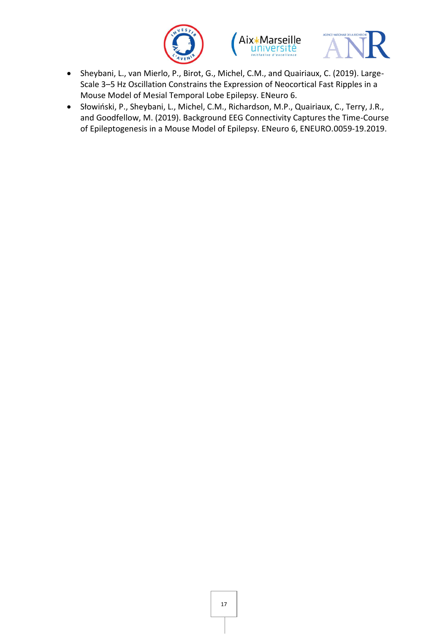





- Sheybani, L., van Mierlo, P., Birot, G., Michel, C.M., and Quairiaux, C. (2019). Large-Scale 3–5 Hz Oscillation Constrains the Expression of Neocortical Fast Ripples in a Mouse Model of Mesial Temporal Lobe Epilepsy. ENeuro 6.
- Słowiński, P., Sheybani, L., Michel, C.M., Richardson, M.P., Quairiaux, C., Terry, J.R., and Goodfellow, M. (2019). Background EEG Connectivity Captures the Time-Course of Epileptogenesis in a Mouse Model of Epilepsy. ENeuro 6, ENEURO.0059-19.2019.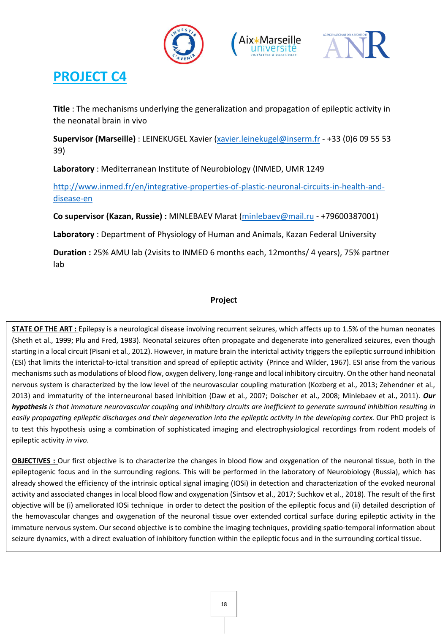





**Title** : The mechanisms underlying the generalization and propagation of epileptic activity in the neonatal brain in vivo

**Supervisor (Marseille)** : LEINEKUGEL Xavier [\(xavier.leinekugel@inserm.fr](mailto:xavier.leinekugel@inserm.fr) - +33 (0)6 09 55 53 39)

**Laboratory** : Mediterranean Institute of Neurobiology (INMED, UMR 1249

http://www.inmed.fr/en/integrative-properties-of-plastic-neuronal-circuits-in-health-anddisease-en

**Co supervisor (Kazan, Russie) :** MINLEBAEV Marat [\(minlebaev@mail.ru](mailto:minlebaev@mail.ru) - +79600387001)

**Laboratory** : Department of Physiology of Human and Animals, Kazan Federal University

**Duration :** 25% AMU lab (2visits to INMED 6 months each, 12months/ 4 years), 75% partner lab

#### **Project**

**STATE OF THE ART :** Epilepsy is a neurological disease involving recurrent seizures, which affects up to 1.5% of the human neonates (Sheth et al., 1999; Plu and Fred, 1983). Neonatal seizures often propagate and degenerate into generalized seizures, even though starting in a local circuit (Pisani et al., 2012). However, in mature brain the interictal activity triggers the epileptic surround inhibition (ESI) that limits the interictal-to-ictal transition and spread of epileptic activity (Prince and Wilder, 1967). ESI arise from the various mechanisms such as modulations of blood flow, oxygen delivery, long-range and local inhibitory circuitry. On the other hand neonatal nervous system is characterized by the low level of the neurovascular coupling maturation (Kozberg et al., 2013; Zehendner et al., 2013) and immaturity of the interneuronal based inhibition (Daw et al., 2007; Doischer et al., 2008; Minlebaev et al., 2011). *Our hypothesis is that immature neurovascular coupling and inhibitory circuits are inefficient to generate surround inhibition resulting in easily propagating epileptic discharges and their degeneration into the epileptic activity in the developing cortex.* Our PhD project is to test this hypothesis using a combination of sophisticated imaging and electrophysiological recordings from rodent models of epileptic activity *in vivo*.

**OBJECTIVES** : Our first objective is to characterize the changes in blood flow and oxygenation of the neuronal tissue, both in the epileptogenic focus and in the surrounding regions. This will be performed in the laboratory of Neurobiology (Russia), which has already showed the efficiency of the intrinsic optical signal imaging (IOSi) in detection and characterization of the evoked neuronal activity and associated changes in local blood flow and oxygenation (Sintsov et al., 2017; Suchkov et al., 2018). The result of the first objective will be (i) ameliorated IOSi technique in order to detect the position of the epileptic focus and (ii) detailed description of the hemovascular changes and oxygenation of the neuronal tissue over extended cortical surface during epileptic activity in the immature nervous system. Our second objective is to combine the imaging techniques, providing spatio-temporal information about seizure dynamics, with a direct evaluation of inhibitory function within the epileptic focus and in the surrounding cortical tissue.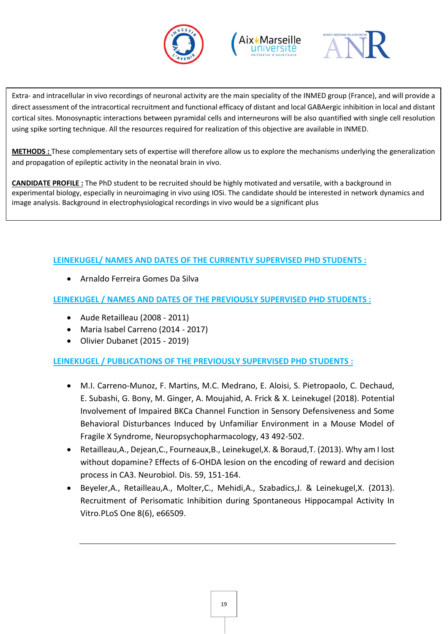





Extra- and intracellular in vivo recordings of neuronal activity are the main speciality of the INMED group (France), and will provide a direct assessment of the intracortical recruitment and functional efficacy of distant and local GABAergic inhibition in local and distant cortical sites. Monosynaptic interactions between pyramidal cells and interneurons will be also quantified with single cell resolution using spike sorting technique. All the resources required for realization of this objective are available in INMED.

**METHODS :** These complementary sets of expertise will therefore allow us to explore the mechanisms underlying the generalization and propagation of epileptic activity in the neonatal brain in vivo.

**CANDIDATE PROFILE :** The PhD student to be recruited should be highly motivated and versatile, with a background in experimental biology, especially in neuroimaging in vivo using IOSi. The candidate should be interested in network dynamics and image analysis. Background in electrophysiological recordings in vivo would be a significant plus

#### **LEINEKUGEL/ NAMES AND DATES OF THE CURRENTLY SUPERVISED PHD STUDENTS :**

Arnaldo Ferreira Gomes Da Silva

**LEINEKUGEL / NAMES AND DATES OF THE PREVIOUSLY SUPERVISED PHD STUDENTS :** 

- Aude Retailleau (2008 2011)
- Maria Isabel Carreno (2014 2017)
- Olivier Dubanet (2015 2019)

**LEINEKUGEL / PUBLICATIONS OF THE PREVIOUSLY SUPERVISED PHD STUDENTS :**

- M.I. Carreno-Munoz, F. Martins, M.C. Medrano, E. Aloisi, S. Pietropaolo, C. Dechaud, E. Subashi, G. Bony, M. Ginger, A. Moujahid, A. Frick & X. Leinekugel (2018). Potential Involvement of Impaired BKCa Channel Function in Sensory Defensiveness and Some Behavioral Disturbances Induced by Unfamiliar Environment in a Mouse Model of Fragile X Syndrome, Neuropsychopharmacology, 43 492-502.
- Retailleau,A., Dejean,C., Fourneaux,B., Leinekugel,X. & Boraud,T. (2013). Why am I lost without dopamine? Effects of 6-OHDA lesion on the encoding of reward and decision process in CA3. Neurobiol. Dis. 59, 151-164.
- Beyeler,A., Retailleau,A., Molter,C., Mehidi,A., Szabadics,J. & Leinekugel,X. (2013). Recruitment of Perisomatic Inhibition during Spontaneous Hippocampal Activity In Vitro.PLoS One 8(6), e66509.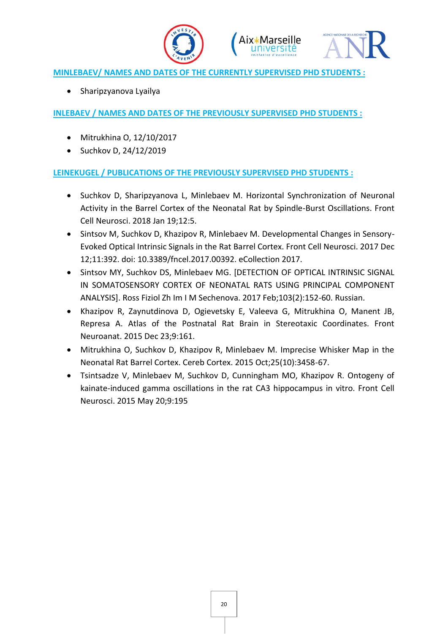





#### **MINLEBAEV/ NAMES AND DATES OF THE CURRENTLY SUPERVISED PHD STUDENTS :**

• Sharipzyanova Lyailya

#### **INLEBAEV / NAMES AND DATES OF THE PREVIOUSLY SUPERVISED PHD STUDENTS :**

- Mitrukhina O, 12/10/2017
- $\bullet$  Suchkov D, 24/12/2019

#### **LEINEKUGEL / PUBLICATIONS OF THE PREVIOUSLY SUPERVISED PHD STUDENTS :**

- Suchkov D, Sharipzyanova L, Minlebaev M. Horizontal Synchronization of Neuronal Activity in the Barrel Cortex of the Neonatal Rat by Spindle-Burst Oscillations. Front Cell Neurosci. 2018 Jan 19;12:5.
- Sintsov M, Suchkov D, Khazipov R, Minlebaev M. Developmental Changes in Sensory-Evoked Optical Intrinsic Signals in the Rat Barrel Cortex. Front Cell Neurosci. 2017 Dec 12;11:392. doi: 10.3389/fncel.2017.00392. eCollection 2017.
- Sintsov MY, Suchkov DS, Minlebaev MG. [DETECTION OF OPTICAL INTRINSIC SIGNAL IN SOMATOSENSORY CORTEX OF NEONATAL RATS USING PRINCIPAL COMPONENT ANALYSIS]. Ross Fiziol Zh Im I M Sechenova. 2017 Feb;103(2):152-60. Russian.
- Khazipov R, Zaynutdinova D, Ogievetsky E, Valeeva G, Mitrukhina O, Manent JB, Represa A. Atlas of the Postnatal Rat Brain in Stereotaxic Coordinates. Front Neuroanat. 2015 Dec 23;9:161.
- Mitrukhina O, Suchkov D, Khazipov R, Minlebaev M. Imprecise Whisker Map in the Neonatal Rat Barrel Cortex. Cereb Cortex. 2015 Oct;25(10):3458-67.
- Tsintsadze V, Minlebaev M, Suchkov D, Cunningham MO, Khazipov R. Ontogeny of kainate-induced gamma oscillations in the rat CA3 hippocampus in vitro. Front Cell Neurosci. 2015 May 20;9:195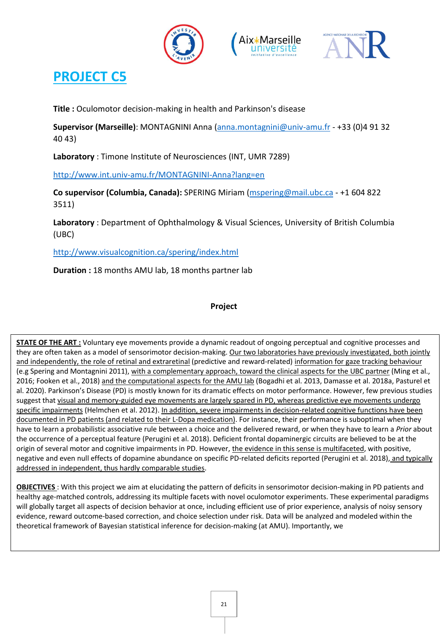





**Title :** Oculomotor decision-making in health and Parkinson's disease

**Supervisor (Marseille)**: MONTAGNINI Anna [\(anna.montagnini@univ-amu.fr](mailto:anna.montagnini@univ-amu.fr) - +33 (0)4 91 32 40 43)

**Laboratory** : Timone Institute of Neurosciences (INT, UMR 7289)

<http://www.int.univ-amu.fr/MONTAGNINI-Anna?lang=en>

**Co supervisor (Columbia, Canada):** SPERING Miriam [\(mspering@mail.ubc.ca](mailto:mspering@mail.ubc.ca) - +1 604 822 3511)

**Laboratory** : Department of Ophthalmology & Visual Sciences, University of British Columbia (UBC)

<http://www.visualcognition.ca/spering/index.html>

**Duration :** 18 months AMU lab, 18 months partner lab

#### **Project**

**STATE OF THE ART :** Voluntary eye movements provide a dynamic readout of ongoing perceptual and cognitive processes and they are often taken as a model of sensorimotor decision-making. Our two laboratories have previously investigated, both jointly and independently, the role of retinal and extraretinal (predictive and reward-related) information for gaze tracking behaviour (e.g Spering and Montagnini 2011), with a complementary approach, toward the clinical aspects for the UBC partner (Ming et al., 2016; Fooken et al., 2018) and the computational aspects for the AMU lab (Bogadhi et al. 2013, Damasse et al. 2018a, Pasturel et al. 2020). Parkinson's Disease (PD) is mostly known for its dramatic effects on motor performance. However, few previous studies suggest that visual and memory-guided eye movements are largely spared in PD, whereas predictive eye movements undergo specific impairments (Helmchen et al. 2012). In addition, severe impairments in decision-related cognitive functions have been documented in PD patients (and related to their L-Dopa medication). For instance, their performance is suboptimal when they have to learn a probabilistic associative rule between a choice and the delivered reward, or when they have to learn a *Prior* about the occurrence of a perceptual feature (Perugini et al. 2018). Deficient frontal dopaminergic circuits are believed to be at the origin of several motor and cognitive impairments in PD. However, the evidence in this sense is multifaceted, with positive, negative and even null effects of dopamine abundance on specific PD-related deficits reported (Perugini et al. 2018), and typically addressed in independent, thus hardly comparable studies.

**OBJECTIVES** : With this project we aim at elucidating the pattern of deficits in sensorimotor decision-making in PD patients and healthy age-matched controls, addressing its multiple facets with novel oculomotor experiments. These experimental paradigms will globally target all aspects of decision behavior at once, including efficient use of prior experience, analysis of noisy sensory evidence, reward outcome-based correction, and choice selection under risk. Data will be analyzed and modeled within the theoretical framework of Bayesian statistical inference for decision-making (at AMU). Importantly, we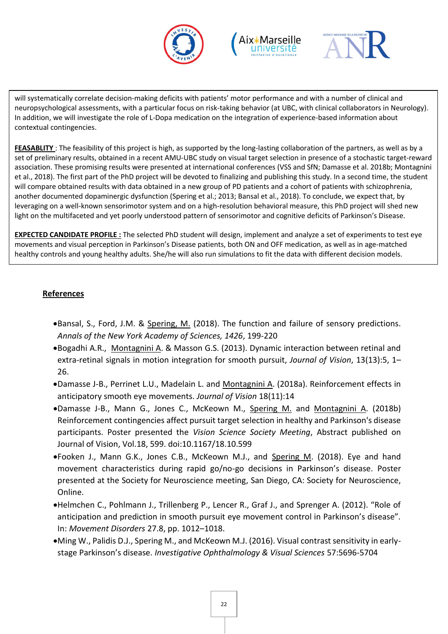





will systematically correlate decision-making deficits with patients' motor performance and with a number of clinical and neuropsychological assessments, with a particular focus on risk-taking behavior (at UBC, with clinical collaborators in Neurology). In addition, we will investigate the role of L-Dopa medication on the integration of experience-based information about contextual contingencies.

**FEASABLITY** : The feasibility of this project is high, as supported by the long-lasting collaboration of the partners, as well as by a set of preliminary results, obtained in a recent AMU-UBC study on visual target selection in presence of a stochastic target-reward association. These promising results were presented at international conferences (VSS and SfN; Damasse et al. 2018b; Montagnini et al., 2018). The first part of the PhD project will be devoted to finalizing and publishing this study. In a second time, the student will compare obtained results with data obtained in a new group of PD patients and a cohort of patients with schizophrenia, another documented dopaminergic dysfunction (Spering et al.; 2013; Bansal et al., 2018). To conclude, we expect that, by leveraging on a well-known sensorimotor system and on a high-resolution behavioral measure, this PhD project will shed new light on the multifaceted and yet poorly understood pattern of sensorimotor and cognitive deficits of Parkinson's Disease.

**EXPECTED CANDIDATE PROFILE :** The selected PhD student will design, implement and analyze a set of experiments to test eye movements and visual perception in Parkinson's Disease patients, both ON and OFF medication, as well as in age-matched healthy controls and young healthy adults. She/he will also run simulations to fit the data with different decision models.

#### **References**

- **•Bansal, S., Ford, J.M. & Spering, M. (2018). The function and failure of sensory predictions.** *Annals of the New York Academy of Sciences, 1426*, 199-220
- Bogadhi A.R., Montagnini A. & Masson G.S. (2013). Dynamic interaction between retinal and extra-retinal signals in motion integration for smooth pursuit, *Journal of Vision*, 13(13):5, 1– 26.
- Damasse J-B., Perrinet L.U., Madelain L. and Montagnini A. (2018a). Reinforcement effects in anticipatory smooth eye movements. *Journal of Vision* 18(11):14
- Damasse J-B., Mann G., Jones C., McKeown M., Spering M. and Montagnini A. (2018b) Reinforcement contingencies affect pursuit target selection in healthy and Parkinson's disease participants. Poster presented the *Vision Science Society Meeting*, Abstract published on Journal of Vision, Vol.18, 599. doi:10.1167/18.10.599
- .Fooken J., Mann G.K., Jones C.B., McKeown M.J., and Spering M. (2018). Eye and hand movement characteristics during rapid go/no-go decisions in Parkinson's disease. Poster presented at the Society for Neuroscience meeting, San Diego, CA: Society for Neuroscience, Online.
- Helmchen C., Pohlmann J., Trillenberg P., Lencer R., Graf J., and Sprenger A. (2012). "Role of anticipation and prediction in smooth pursuit eye movement control in Parkinson's disease". In: *Movement Disorders* 27.8, pp. 1012–1018.
- Ming W., Palidis D.J., Spering M., and McKeown M.J. (2016). Visual contrast sensitivity in earlystage Parkinson's disease. *Investigative Ophthalmology & Visual Sciences* 57:5696-5704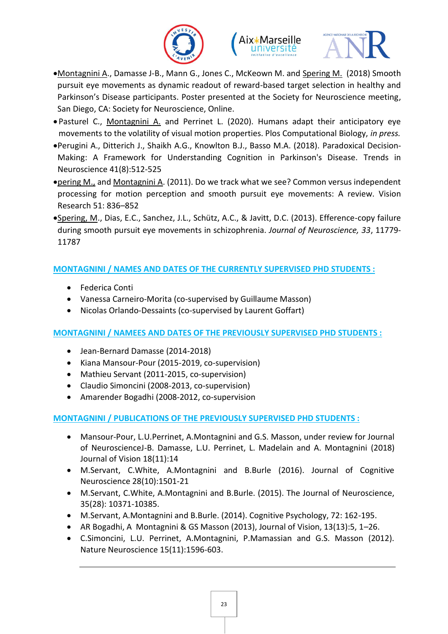





- Montagnini A., Damasse J-B., Mann G., Jones C., McKeown M. and Spering M. (2018) Smooth pursuit eye movements as dynamic readout of reward-based target selection in healthy and Parkinson's Disease participants. Poster presented at the Society for Neuroscience meeting, San Diego, CA: Society for Neuroscience, Online.
- Pasturel C., Montagnini A. and Perrinet L. (2020). Humans adapt their anticipatory eye movements to the volatility of visual motion properties. Plos Computational Biology, *in press.*
- Perugini A., Ditterich J., Shaikh A.G., Knowlton B.J., Basso M.A. (2018). Paradoxical Decision-Making: A Framework for Understanding Cognition in Parkinson's Disease. Trends in Neuroscience 41(8):512-525
- pering M., and Montagnini A. (2011). Do we track what we see? Common versus independent processing for motion perception and smooth pursuit eye movements: A review. Vision Research 51: 836–852
- Spering, M., Dias, E.C., Sanchez, J.L., Schütz, A.C., & Javitt, D.C. (2013). Efference-copy failure during smooth pursuit eye movements in schizophrenia. *Journal of Neuroscience, 33*, 11779- 11787

#### **MONTAGNINI / NAMES AND DATES OF THE CURRENTLY SUPERVISED PHD STUDENTS :**

- Federica Conti
- Vanessa Carneiro-Morita (co-supervised by Guillaume Masson)
- Nicolas Orlando-Dessaints (co-supervised by Laurent Goffart)

#### **MONTAGNINI / NAMEES AND DATES OF THE PREVIOUSLY SUPERVISED PHD STUDENTS :**

- Jean-Bernard Damasse (2014-2018)
- Kiana Mansour-Pour (2015-2019, co-supervision)
- Mathieu Servant (2011-2015, co-supervision)
- Claudio Simoncini (2008-2013, co-supervision)
- Amarender Bogadhi (2008-2012, co-supervision

#### **MONTAGNINI / PUBLICATIONS OF THE PREVIOUSLY SUPERVISED PHD STUDENTS :**

- Mansour-Pour, L.U.Perrinet, A.Montagnini and G.S. Masson, under review for Journal of NeuroscienceJ-B. Damasse, L.U. Perrinet, L. Madelain and A. Montagnini (2018) Journal of Vision 18(11):14
- M.Servant, C.White, A.Montagnini and B.Burle (2016). Journal of Cognitive Neuroscience 28(10):1501-21
- M.Servant, C.White, A.Montagnini and B.Burle. (2015). The Journal of Neuroscience, 35(28): 10371-10385.
- M.Servant, A.Montagnini and B.Burle. (2014). Cognitive Psychology, 72: 162-195.
- AR Bogadhi, A Montagnini & GS Masson (2013), Journal of Vision, 13(13):5, 1–26.
- C.Simoncini, L.U. Perrinet, A.Montagnini, P.Mamassian and G.S. Masson (2012). Nature Neuroscience 15(11):1596-603.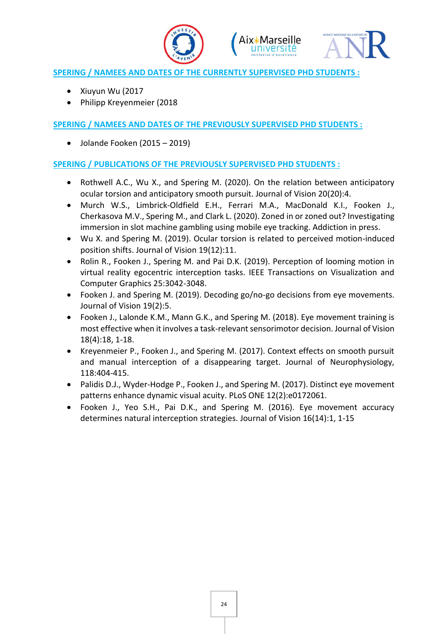





#### **SPERING / NAMEES AND DATES OF THE CURRENTLY SUPERVISED PHD STUDENTS :**

- Xiuyun Wu (2017
- Philipp Kreyenmeier (2018

**SPERING / NAMEES AND DATES OF THE PREVIOUSLY SUPERVISED PHD STUDENTS :** 

Jolande Fooken (2015 – 2019)

#### **SPERING / PUBLICATIONS OF THE PREVIOUSLY SUPERVISED PHD STUDENTS :**

- Rothwell A.C., Wu X., and Spering M. (2020). On the relation between anticipatory ocular torsion and anticipatory smooth pursuit. Journal of Vision 20(20):4.
- Murch W.S., Limbrick-Oldfield E.H., Ferrari M.A., MacDonald K.I., Fooken J., Cherkasova M.V., Spering M., and Clark L. (2020). Zoned in or zoned out? Investigating immersion in slot machine gambling using mobile eye tracking. Addiction in press.
- Wu X. and Spering M. (2019). Ocular torsion is related to perceived motion-induced position shifts. Journal of Vision 19(12):11.
- Rolin R., Fooken J., Spering M. and Pai D.K. (2019). Perception of looming motion in virtual reality egocentric interception tasks. IEEE Transactions on Visualization and Computer Graphics 25:3042-3048.
- Fooken J. and Spering M. (2019). Decoding go/no-go decisions from eye movements. Journal of Vision 19(2):5.
- Fooken J., Lalonde K.M., Mann G.K., and Spering M. (2018). Eye movement training is most effective when it involves a task-relevant sensorimotor decision. Journal of Vision 18(4):18, 1-18.
- Kreyenmeier P., Fooken J., and Spering M. (2017). Context effects on smooth pursuit and manual interception of a disappearing target. Journal of Neurophysiology, 118:404-415.
- Palidis D.J., Wyder-Hodge P., Fooken J., and Spering M. (2017). Distinct eye movement patterns enhance dynamic visual acuity. PLoS ONE 12(2):e0172061.
- Fooken J., Yeo S.H., Pai D.K., and Spering M. (2016). Eye movement accuracy determines natural interception strategies. Journal of Vision 16(14):1, 1-15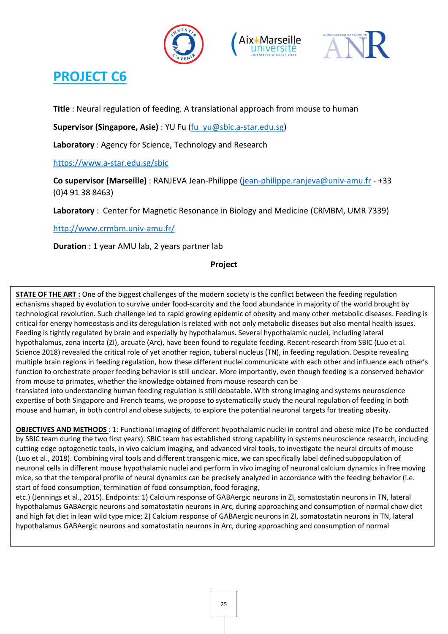





**Title** : Neural regulation of feeding. A translational approach from mouse to human

**Supervisor (Singapore, Asie)** : YU Fu [\(fu\\_yu@sbic.a-star.edu.sg\)](mailto:fu_yu@sbic.a-star.edu.sg)

**Laboratory** : Agency for Science, Technology and Research

#### https://www.a-star.edu.sg/sbic

**Co supervisor (Marseille)** : RANJEVA Jean-Philippe [\(jean-philippe.ranjeva@univ-amu.fr](mailto:jean-philippe.ranjeva@univ-amu.fr) - +33 (0)4 91 38 8463)

**Laboratory** : Center for Magnetic Resonance in Biology and Medicine (CRMBM, UMR 7339)

http://www.crmbm.univ-amu.fr/

**Duration** : 1 year AMU lab, 2 years partner lab

#### **Project**

**STATE OF THE ART :** One of the biggest challenges of the modern society is the conflict between the feeding regulation echanisms shaped by evolution to survive under food-scarcity and the food abundance in majority of the world brought by technological revolution. Such challenge led to rapid growing epidemic of obesity and many other metabolic diseases. Feeding is critical for energy homeostasis and its deregulation is related with not only metabolic diseases but also mental health issues. Feeding is tightly regulated by brain and especially by hypothalamus. Several hypothalamic nuclei, including lateral hypothalamus, zona incerta (ZI), arcuate (Arc), have been found to regulate feeding. Recent research from SBIC (Luo et al. Science 2018) revealed the critical role of yet another region, tuberal nucleus (TN), in feeding regulation. Despite revealing multiple brain regions in feeding regulation, how these different nuclei communicate with each other and influence each other's function to orchestrate proper feeding behavior is still unclear. More importantly, even though feeding is a conserved behavior from mouse to primates, whether the knowledge obtained from mouse research can be

translated into understanding human feeding regulation is still debatable. With strong imaging and systems neuroscience expertise of both Singapore and French teams, we propose to systematically study the neural regulation of feeding in both mouse and human, in both control and obese subjects, to explore the potential neuronal targets for treating obesity.

**OBJECTIVES AND METHODS** : 1: Functional imaging of different hypothalamic nuclei in control and obese mice (To be conducted by SBIC team during the two first years). SBIC team has established strong capability in systems neuroscience research, including cutting-edge optogenetic tools, in vivo calcium imaging, and advanced viral tools, to investigate the neural circuits of mouse (Luo et al., 2018). Combining viral tools and different transgenic mice, we can specifically label defined subpopulation of neuronal cells in different mouse hypothalamic nuclei and perform in vivo imaging of neuronal calcium dynamics in free moving mice, so that the temporal profile of neural dynamics can be precisely analyzed in accordance with the feeding behavior (i.e. start of food consumption, termination of food consumption, food foraging,

etc.) (Jennings et al., 2015). Endpoints: 1) Calcium response of GABAergic neurons in ZI, somatostatin neurons in TN, lateral hypothalamus GABAergic neurons and somatostatin neurons in Arc, during approaching and consumption of normal chow diet and high fat diet in lean wild type mice; 2) Calcium response of GABAergic neurons in ZI, somatostatin neurons in TN, lateral hypothalamus GABAergic neurons and somatostatin neurons in Arc, during approaching and consumption of normal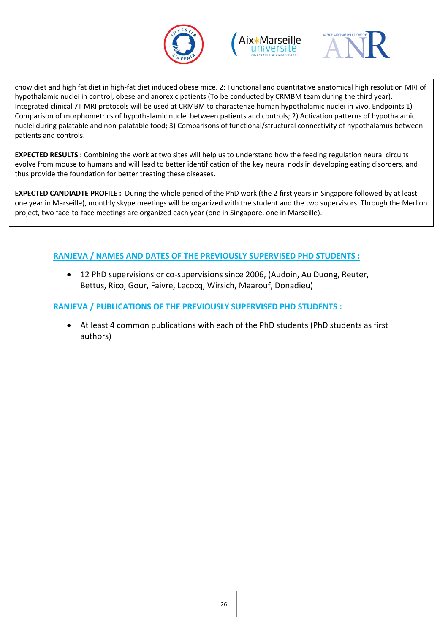





chow diet and high fat diet in high-fat diet induced obese mice. 2: Functional and quantitative anatomical high resolution MRI of hypothalamic nuclei in control, obese and anorexic patients (To be conducted by CRMBM team during the third year). Integrated clinical 7T MRI protocols will be used at CRMBM to characterize human hypothalamic nuclei in vivo. Endpoints 1) Comparison of morphometrics of hypothalamic nuclei between patients and controls; 2) Activation patterns of hypothalamic nuclei during palatable and non-palatable food; 3) Comparisons of functional/structural connectivity of hypothalamus between patients and controls.

**EXPECTED RESULTS :** Combining the work at two sites will help us to understand how the feeding regulation neural circuits evolve from mouse to humans and will lead to better identification of the key neural nods in developing eating disorders, and thus provide the foundation for better treating these diseases.

**EXPECTED CANDIADTE PROFILE :** During the whole period of the PhD work (the 2 first years in Singapore followed by at least one year in Marseille), monthly skype meetings will be organized with the student and the two supervisors. Through the Merlion project, two face-to-face meetings are organized each year (one in Singapore, one in Marseille).

#### **RANJEVA / NAMES AND DATES OF THE PREVIOUSLY SUPERVISED PHD STUDENTS :**

 12 PhD supervisions or co-supervisions since 2006, (Audoin, Au Duong, Reuter, Bettus, Rico, Gour, Faivre, Lecocq, Wirsich, Maarouf, Donadieu)

#### **RANJEVA / PUBLICATIONS OF THE PREVIOUSLY SUPERVISED PHD STUDENTS :**

 At least 4 common publications with each of the PhD students (PhD students as first authors)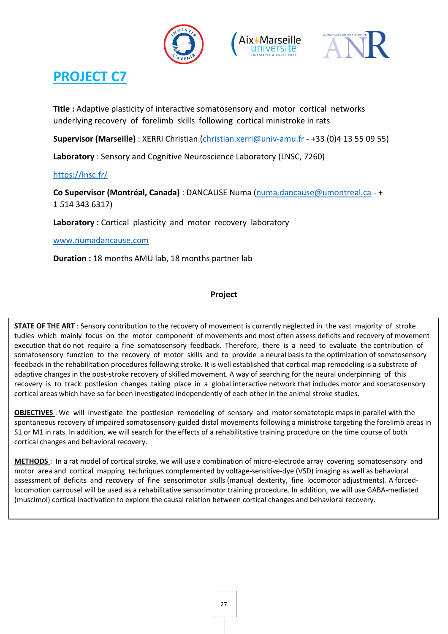





**Title :** Adaptive plasticity of interactive somatosensory and motor cortical networks underlying recovery of forelimb skills following cortical ministroke in rats

**Supervisor (Marseille)** : XERRI Christian [\(christian.xerri@univ-amu.fr](mailto:christian.xerri@univ-amu.fr) - +33 (0)4 13 55 09 55)

**Laboratory** : Sensory and Cognitive Neuroscience Laboratory (LNSC, 7260)

#### <https://lnsc.fr/>

**Co Supervisor (Montréal, Canada)** : DANCAUSE Numa [\(numa.dancause@umontreal.ca](mailto:numa.dancause@umontreal.ca) - + 1 514 343 6317)

Laboratory : Cortical plasticity and motor recovery laboratory

[www.numadancause.com](http://www.numadancause.com/)

**Duration :** 18 months AMU lab, 18 months partner lab

#### **Project**

**STATE OF THE ART** : Sensory contribution to the recovery of movement is currently neglected in the vast majority of stroke tudies which mainly focus on the motor component of movements and most often assess deficits and recovery of movement execution that do not require a fine somatosensory feedback. Therefore, there is a need to evaluate the contribution of somatosensory function to the recovery of motor skills and to provide a neural basis to the optimization of somatosensory feedback in the rehabilitation procedures following stroke. It is well established that cortical map remodeling is a substrate of adaptive changes in the post-stroke recovery of skilled movement. A way of searching for the neural underpinning of this recovery is to track postlesion changes taking place in a global interactive network that includes motor and somatosensory cortical areas which have so far been investigated independently of each other in the animal stroke studies.

**OBJECTIVES** : We will investigate the postlesion remodeling of sensory and motor somatotopic maps in parallel with the spontaneous recovery of impaired somatosensory-guided distal movements following a ministroke targeting the forelimb areas in S1 or M1 in rats. In addition, we will search for the effects of a rehabilitative training procedure on the time course of both cortical changes and behavioral recovery.

**METHODS** : In a rat model of cortical stroke, we will use a combination of micro-electrode array covering somatosensory and motor area and cortical mapping techniques complemented by voltage-sensitive-dye (VSD) imaging as well as behavioral assessment of deficits and recovery of fine sensorimotor skills (manual dexterity, fine locomotor adjustments). A forcedlocomotion carrousel will be used as a rehabilitative sensorimotor training procedure. In addition, we will use GABA-mediated (muscimol) cortical inactivation to explore the causal relation between cortical changes and behavioral recovery.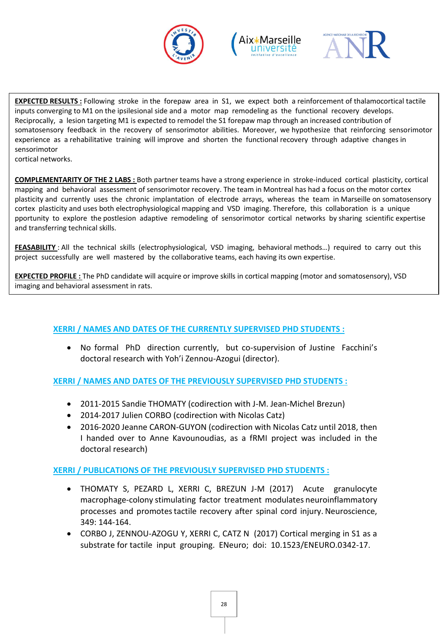





**EXPECTED RESULTS :** Following stroke in the forepaw area in S1, we expect both a reinforcement of thalamocortical tactile inputs converging to M1 on the ipsilesional side and a motor map remodeling as the functional recovery develops. Reciprocally, a lesion targeting M1 is expected to remodel the S1 forepaw map through an increased contribution of somatosensory feedback in the recovery of sensorimotor abilities. Moreover, we hypothesize that reinforcing sensorimotor experience as a rehabilitative training will improve and shorten the functional recovery through adaptive changes in sensorimotor

cortical networks.

**COMPLEMENTARITY OF THE 2 LABS :** Both partner teams have a strong experience in stroke-induced cortical plasticity, cortical mapping and behavioral assessment of sensorimotor recovery. The team in Montreal has had a focus on the motor cortex plasticity and currently uses the chronic implantation of electrode arrays, whereas the team in Marseille on somatosensory cortex plasticity and uses both electrophysiological mapping and VSD imaging. Therefore, this collaboration is a unique pportunity to explore the postlesion adaptive remodeling of sensorimotor cortical networks by sharing scientific expertise and transferring technical skills.

**FEASABILITY** : All the technical skills (electrophysiological, VSD imaging, behavioral methods…) required to carry out this project successfully are well mastered by the collaborative teams, each having its own expertise.

**EXPECTED PROFILE :** The PhD candidate will acquire or improve skills in cortical mapping (motor and somatosensory), VSD imaging and behavioral assessment in rats.

#### **XERRI / NAMES AND DATES OF THE CURRENTLY SUPERVISED PHD STUDENTS :**

 No formal PhD direction currently, but co-supervision of Justine Facchini's doctoral research with Yoh'i Zennou-Azogui (director).

**XERRI / NAMES AND DATES OF THE PREVIOUSLY SUPERVISED PHD STUDENTS :** 

- 2011-2015 Sandie THOMATY (codirection with J-M. Jean-Michel Brezun)
- 2014-2017 Julien CORBO (codirection with Nicolas Catz)
- 2016-2020 Jeanne CARON-GUYON (codirection with Nicolas Catz until 2018, then I handed over to Anne Kavounoudias, as a fRMI project was included in the doctoral research)

#### **XERRI / PUBLICATIONS OF THE PREVIOUSLY SUPERVISED PHD STUDENTS :**

- THOMATY S, PEZARD L, XERRI C, BREZUN J-M (2017) Acute granulocyte macrophage-colony stimulating factor treatment modulates neuroinflammatory processes and promotes tactile recovery after spinal cord injury. Neuroscience, 349: 144-164.
- CORBO J, ZENNOU-AZOGU Y, XERRI C, CATZ N (2017) Cortical merging in S1 as a substrate for tactile input grouping. ENeuro; doi: 10.1523/ENEURO.0342-17.